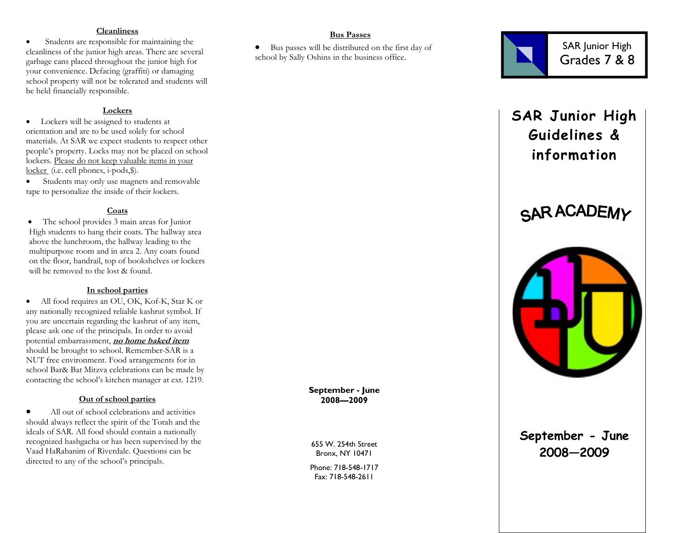#### **Cleanliness**

 • Students are responsible for maintaining the cleanliness of the junior high areas. There are several garbage cans placed throughout the junior high for your convenience. Defacing (graffiti) or damaging school property will not be tolerated and students will be held financially responsible.

## **Lockers**

 • Lockers will be assigned to students at orientation and are to be used solely for school materials. At SAR we expect students to respect other people's property. Locks may not be placed on school lockers. Please do not keep valuable items in your locker (i.e. cell phones, i-pods,\$).

Students may only use magnets and removable tape to personalize the inside of their lockers.

## **Coats**

• The school provides 3 main areas for Junior High students to hang their coats. The hallway areaabove the lunchroom, the hallway leading to the multipurpose room and in area 2. Any coats found on the floor, handrail, top of bookshelves or lockers will be removed to the lost & found.

## **In school parties**

 • All food requires an OU, OK, Kof-K, Star K or any nationally recognized reliable kashrut symbol. If you are uncertain regarding the kashrut of any item, please ask one of the principals. In order to avoid potential embarrassment, **no home baked item** should be brought to school. Remember-SAR is a NUT free environment. Food arrangements for in school Bar& Bat Mitzva celebrations can be made by contacting the school's kitchen manager at ext. 1219.

## **Out of school parties**

• All out of school celebrations and activities should always reflect the spirit of the Torah and the ideals of SAR. All food should contain a nationally recognized hashgacha or has been supervised by the Vaad HaRabanim of Riverdale. Questions can be directed to any of the school's principals.

**September - June 2008—2009** 

655 W. 254th Street Bronx, NY 10471

Phone: 718-548-1717 Fax: 718-548-2611

## **Bus Passes**

• Bus passes will be distributed on the first day of school by Sally Oshins in the business office.



# **SAR Junior High Guidelines & information**





## **September - June 2008—2009**